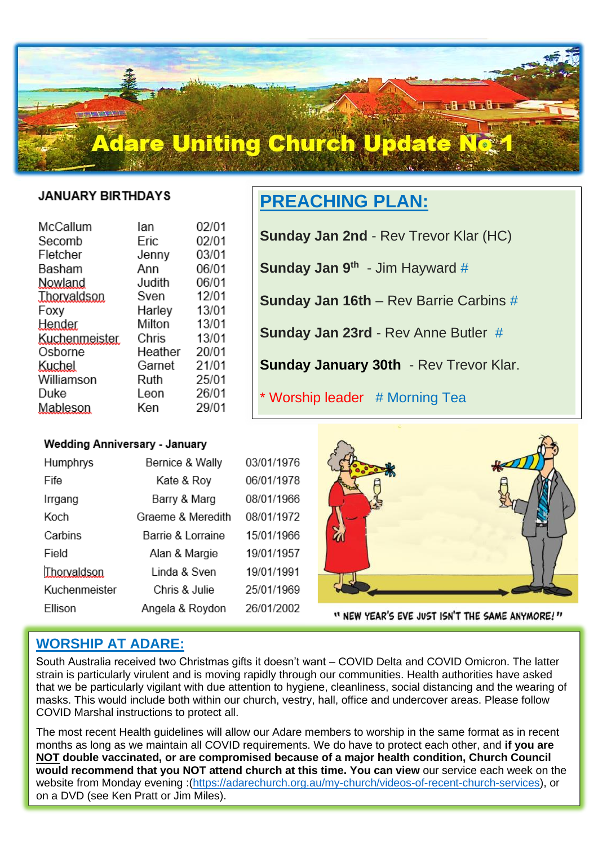# **Adare Uniting Church Update N**

#### **JANUARY BIRTHDAYS**

 $TTT$ 

İ,

| lan     | 02/01 |
|---------|-------|
| Eric    | 02/01 |
| Jenny   | 03/01 |
| Ann     | 06/01 |
| Judith  | 06/01 |
| Sven    | 12/01 |
| Harley  | 13/01 |
| Milton  | 13/01 |
| Chris   | 13/01 |
| Heather | 20/01 |
| Garnet  | 21/01 |
| Ruth    | 25/01 |
| Leon    | 26/01 |
| Ken     | 29/01 |
|         |       |

# **PREACHING PLAN:**

**Sunday Jan 2nd** - Rev Trevor Klar (HC)

**Sunday Jan 9<sup>th</sup> - Jim Hayward #** 

**Sunday Jan 16th** – Rev Barrie Carbins #

**Sunday Jan 23rd** - Rev Anne Butler #

**Sunday January 30th** - Rev Trevor Klar.

\* Worship leader # Morning Tea

### **Wedding Anniversary - January**

| Humphrys      | Bernice & Wally   | 03/01/1976 |
|---------------|-------------------|------------|
| Fife          | Kate & Roy        | 06/01/1978 |
| Irrgang       | Barry & Marg      | 08/01/1966 |
| Koch          | Graeme & Meredith | 08/01/1972 |
| Carbins       | Barrie & Lorraine | 15/01/1966 |
| Field         | Alan & Margie     | 19/01/1957 |
| Thorvaldson   | Linda & Sven      | 19/01/1991 |
| Kuchenmeister | Chris & Julie     | 25/01/1969 |
| Ellison       | Angela & Roydon   | 26/01/2002 |



" NEW YEAR'S EVE JUST ISN'T THE SAME ANYMORE!"

# **WORSHIP AT ADARE:**

South Australia received two Christmas gifts it doesn't want – COVID Delta and COVID Omicron. The latter strain is particularly virulent and is moving rapidly through our communities. Health authorities have asked that we be particularly vigilant with due attention to hygiene, cleanliness, social distancing and the wearing of masks. This would include both within our church, vestry, hall, office and undercover areas. Please follow COVID Marshal instructions to protect all.

The most recent Health guidelines will allow our Adare members to worship in the same format as in recent months as long as we maintain all COVID requirements. We do have to protect each other, and **if you are NOT double vaccinated, or are compromised because of a major health condition, Church Council would recommend that you NOT attend church at this time. You can view** our service each week on the website from Monday evening :[\(https://adarechurch.org.au/my-church/videos-of-recent-church-services\)](https://adarechurch.org.au/my-church/videos-of-recent-church-services), or on a DVD (see Ken Pratt or Jim Miles).